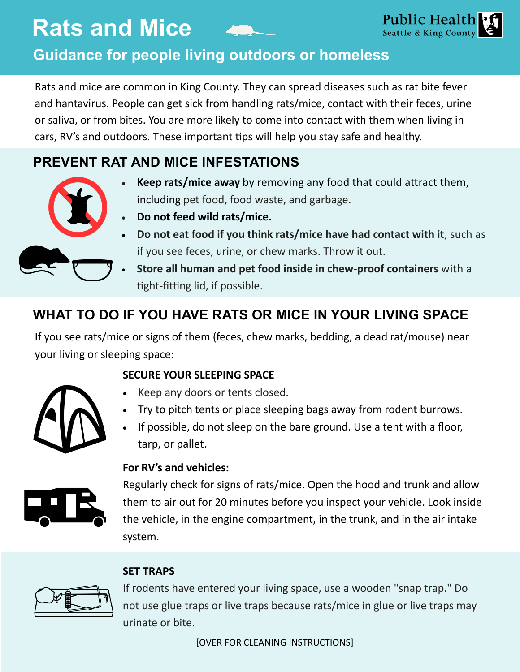# **Guidance for people living outdoors or homeless**

Rats and mice are common in King County. They can spread diseases such as rat bite fever and hantavirus. People can get sick from handling rats/mice, contact with their feces, urine or saliva, or from bites. You are more likely to come into contact with them when living in cars, RV's and outdoors. These important tips will help you stay safe and healthy.

## **PREVENT RAT AND MICE INFESTATIONS**

 **Keep rats/mice away** by removing any food that could attract them, including pet food, food waste, and garbage.



- **Do not feed wild rats/mice. Do not eat food if you think rats/mice have had contact with it**, such as
- **Store all human and pet food inside in chew-proof containers** with a tight-fitting lid, if possible.

## **WHAT TO DO IF YOU HAVE RATS OR MICE IN YOUR LIVING SPACE**

if you see feces, urine, or chew marks. Throw it out.

If you see rats/mice or signs of them (feces, chew marks, bedding, a dead rat/mouse) near your living or sleeping space:

### **SECURE YOUR SLEEPING SPACE**



- Keep any doors or tents closed.
- Try to pitch tents or place sleeping bags away from rodent burrows.
- If possible, do not sleep on the bare ground. Use a tent with a floor, tarp, or pallet.

# **For RV's and vehicles:**



Regularly check for signs of rats/mice. Open the hood and trunk and allow them to air out for 20 minutes before you inspect your vehicle. Look inside the vehicle, in the engine compartment, in the trunk, and in the air intake system.

### **SET TRAPS**



If rodents have entered your living space, use a wooden "snap trap." Do not use glue traps or live traps because rats/mice in glue or live traps may urinate or bite.

[OVER FOR CLEANING INSTRUCTIONS]